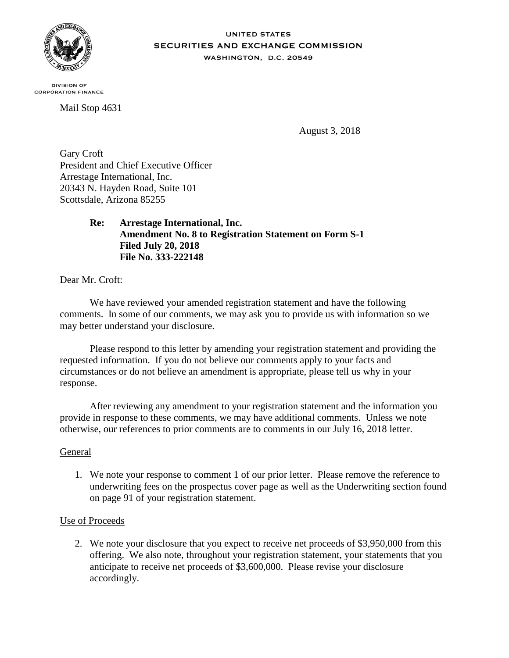

## **UNITED STATES SECURITIES AND EXCHANGE COMMISSION** WASHINGTON, D.C. 20549

**DIVISION OF CORPORATION FINANCE** 

Mail Stop 4631

August 3, 2018

Gary Croft President and Chief Executive Officer Arrestage International, Inc. 20343 N. Hayden Road, Suite 101 Scottsdale, Arizona 85255

> **Re: Arrestage International, Inc. Amendment No. 8 to Registration Statement on Form S-1 Filed July 20, 2018 File No. 333-222148**

Dear Mr. Croft:

We have reviewed your amended registration statement and have the following comments. In some of our comments, we may ask you to provide us with information so we may better understand your disclosure.

Please respond to this letter by amending your registration statement and providing the requested information. If you do not believe our comments apply to your facts and circumstances or do not believe an amendment is appropriate, please tell us why in your response.

After reviewing any amendment to your registration statement and the information you provide in response to these comments, we may have additional comments. Unless we note otherwise, our references to prior comments are to comments in our July 16, 2018 letter.

## General

1. We note your response to comment 1 of our prior letter. Please remove the reference to underwriting fees on the prospectus cover page as well as the Underwriting section found on page 91 of your registration statement.

## Use of Proceeds

2. We note your disclosure that you expect to receive net proceeds of \$3,950,000 from this offering. We also note, throughout your registration statement, your statements that you anticipate to receive net proceeds of \$3,600,000. Please revise your disclosure accordingly.